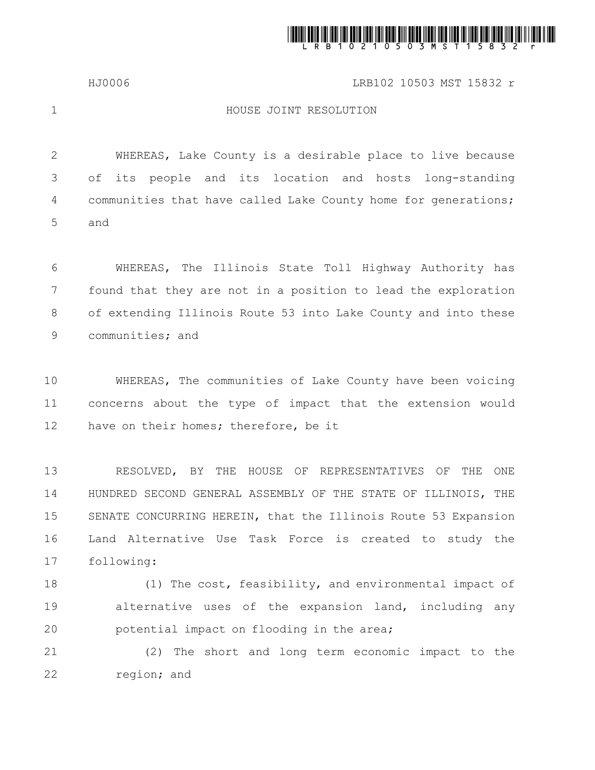

## HJ0006 LRB102 10503 MST 15832 r

1

## HOUSE JOINT RESOLUTION

WHEREAS, Lake County is a desirable place to live because of its people and its location and hosts long-standing communities that have called Lake County home for generations; and 2 3 4 5

WHEREAS, The Illinois State Toll Highway Authority has found that they are not in a position to lead the exploration of extending Illinois Route 53 into Lake County and into these communities; and 6 7 8 9

WHEREAS, The communities of Lake County have been voicing concerns about the type of impact that the extension would have on their homes; therefore, be it 10 11 12

RESOLVED, BY THE HOUSE OF REPRESENTATIVES OF THE ONE HUNDRED SECOND GENERAL ASSEMBLY OF THE STATE OF ILLINOIS, THE SENATE CONCURRING HEREIN, that the Illinois Route 53 Expansion Land Alternative Use Task Force is created to study the following: 13 14 15 16 17

(1) The cost, feasibility, and environmental impact of alternative uses of the expansion land, including any potential impact on flooding in the area; 18 19 20

(2) The short and long term economic impact to the region; and 21 22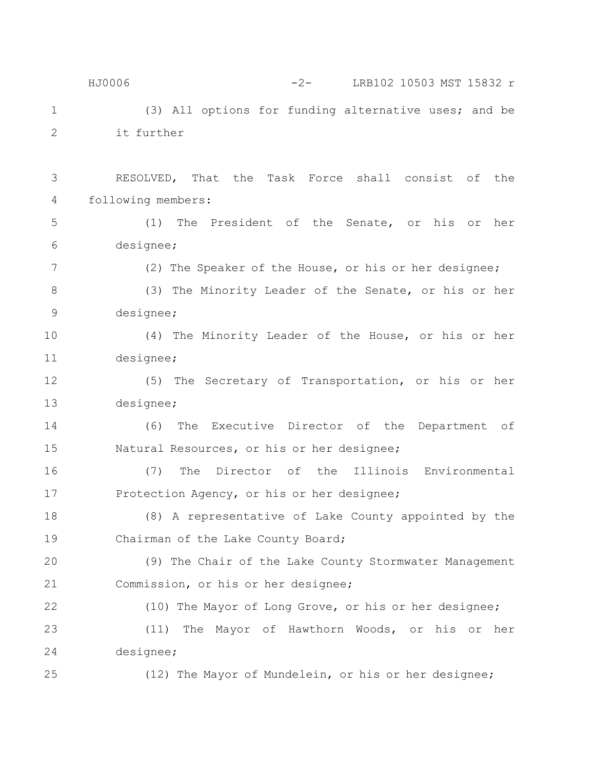(3) All options for funding alternative uses; and be it further RESOLVED, That the Task Force shall consist of the following members: (1) The President of the Senate, or his or her designee; (2) The Speaker of the House, or his or her designee; (3) The Minority Leader of the Senate, or his or her designee; (4) The Minority Leader of the House, or his or her designee; (5) The Secretary of Transportation, or his or her designee; (6) The Executive Director of the Department of Natural Resources, or his or her designee; (7) The Director of the Illinois Environmental Protection Agency, or his or her designee; (8) A representative of Lake County appointed by the Chairman of the Lake County Board; (9) The Chair of the Lake County Stormwater Management Commission, or his or her designee; (10) The Mayor of Long Grove, or his or her designee; (11) The Mayor of Hawthorn Woods, or his or her designee; (12) The Mayor of Mundelein, or his or her designee; 1 2 3 4 5 6 7 8 9 10 11 12 13 14 15 16 17 18 19 20 21 22 23 24 25 HJ0006 -2- LRB102 10503 MST 15832 r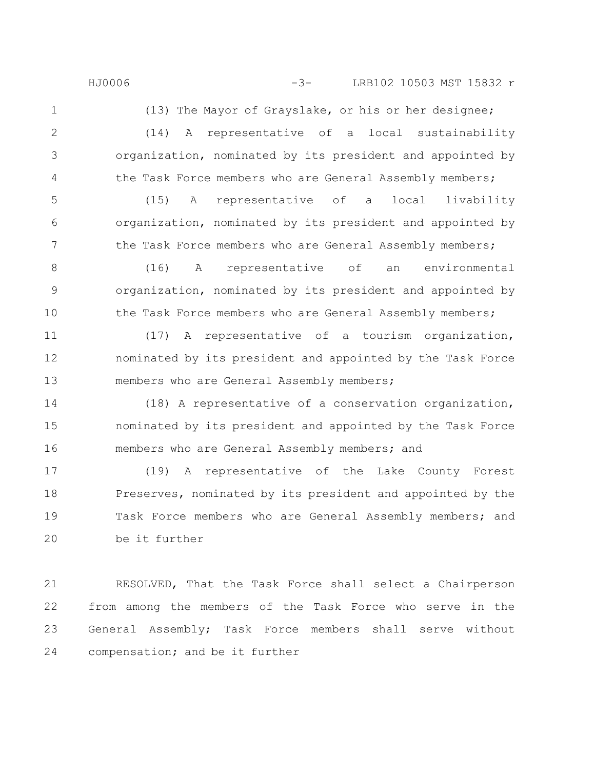HJ0006 -3- LRB102 10503 MST 15832 r

1

2

3

4

(13) The Mayor of Grayslake, or his or her designee; (14) A representative of a local sustainability organization, nominated by its president and appointed by

the Task Force members who are General Assembly members;

(15) A representative of a local livability organization, nominated by its president and appointed by the Task Force members who are General Assembly members; 5 6 7

(16) A representative of an environmental organization, nominated by its president and appointed by the Task Force members who are General Assembly members; 8 9 10

(17) A representative of a tourism organization, nominated by its president and appointed by the Task Force members who are General Assembly members; 11 12 13

(18) A representative of a conservation organization, nominated by its president and appointed by the Task Force members who are General Assembly members; and 14 15 16

(19) A representative of the Lake County Forest Preserves, nominated by its president and appointed by the Task Force members who are General Assembly members; and be it further 17 18 19 20

RESOLVED, That the Task Force shall select a Chairperson from among the members of the Task Force who serve in the General Assembly; Task Force members shall serve without compensation; and be it further 21 22 23 24